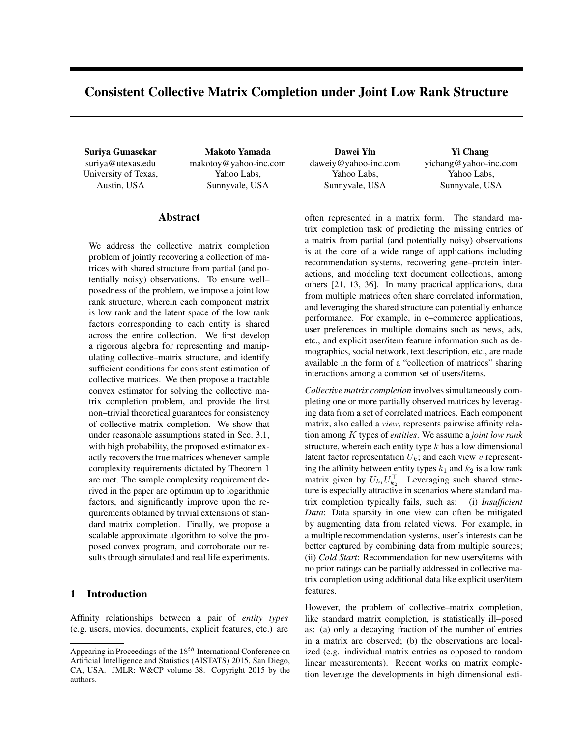# Consistent Collective Matrix Completion under Joint Low Rank Structure

suriya@utexas.edu University of Texas, Austin, USA

Suriya Gunasekar Makoto Yamada Dawei Yin Yi Chang makotoy@yahoo-inc.com Yahoo Labs, Sunnyvale, USA

# Abstract

We address the collective matrix completion problem of jointly recovering a collection of matrices with shared structure from partial (and potentially noisy) observations. To ensure well– posedness of the problem, we impose a joint low rank structure, wherein each component matrix is low rank and the latent space of the low rank factors corresponding to each entity is shared across the entire collection. We first develop a rigorous algebra for representing and manipulating collective–matrix structure, and identify sufficient conditions for consistent estimation of collective matrices. We then propose a tractable convex estimator for solving the collective matrix completion problem, and provide the first non–trivial theoretical guarantees for consistency of collective matrix completion. We show that under reasonable assumptions stated in Sec. 3.1, with high probability, the proposed estimator exactly recovers the true matrices whenever sample complexity requirements dictated by Theorem 1 are met. The sample complexity requirement derived in the paper are optimum up to logarithmic factors, and significantly improve upon the requirements obtained by trivial extensions of standard matrix completion. Finally, we propose a scalable approximate algorithm to solve the proposed convex program, and corroborate our results through simulated and real life experiments.

# 1 Introduction

Affinity relationships between a pair of *entity types* (e.g. users, movies, documents, explicit features, etc.) are daweiy@yahoo-inc.com Yahoo Labs, Sunnyvale, USA

yichang@yahoo-inc.com Yahoo Labs, Sunnyvale, USA

often represented in a matrix form. The standard matrix completion task of predicting the missing entries of a matrix from partial (and potentially noisy) observations is at the core of a wide range of applications including recommendation systems, recovering gene–protein interactions, and modeling text document collections, among others [21, 13, 36]. In many practical applications, data from multiple matrices often share correlated information, and leveraging the shared structure can potentially enhance performance. For example, in e–commerce applications, user preferences in multiple domains such as news, ads, etc., and explicit user/item feature information such as demographics, social network, text description, etc., are made available in the form of a "collection of matrices" sharing interactions among a common set of users/items.

*Collective matrix completion* involves simultaneously completing one or more partially observed matrices by leveraging data from a set of correlated matrices. Each component matrix, also called a *view*, represents pairwise affinity relation among K types of *entities*. We assume a *joint low rank* structure, wherein each entity type  $k$  has a low dimensional latent factor representation  $U_k$ ; and each view v representing the affinity between entity types  $k_1$  and  $k_2$  is a low rank matrix given by  $U_{k_1} U_{k_2}^{\top}$ . Leveraging such shared structure is especially attractive in scenarios where standard matrix completion typically fails, such as: (i) *Insufficient Data*: Data sparsity in one view can often be mitigated by augmenting data from related views. For example, in a multiple recommendation systems, user's interests can be better captured by combining data from multiple sources; (ii) *Cold Start*: Recommendation for new users/items with no prior ratings can be partially addressed in collective matrix completion using additional data like explicit user/item features.

However, the problem of collective–matrix completion, like standard matrix completion, is statistically ill–posed as: (a) only a decaying fraction of the number of entries in a matrix are observed; (b) the observations are localized (e.g. individual matrix entries as opposed to random linear measurements). Recent works on matrix completion leverage the developments in high dimensional esti-

Appearing in Proceedings of the  $18^{th}$  International Conference on Artificial Intelligence and Statistics (AISTATS) 2015, San Diego, CA, USA. JMLR: W&CP volume 38. Copyright 2015 by the authors.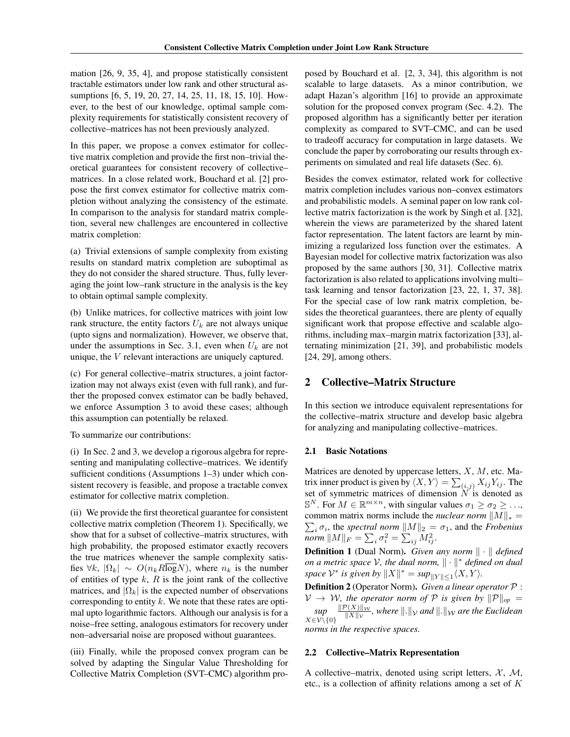mation [26, 9, 35, 4], and propose statistically consistent tractable estimators under low rank and other structural assumptions [6, 5, 19, 20, 27, 14, 25, 11, 18, 15, 10]. However, to the best of our knowledge, optimal sample complexity requirements for statistically consistent recovery of collective–matrices has not been previously analyzed.

In this paper, we propose a convex estimator for collective matrix completion and provide the first non–trivial theoretical guarantees for consistent recovery of collective– matrices. In a close related work, Bouchard et al. [2] propose the first convex estimator for collective matrix completion without analyzing the consistency of the estimate. In comparison to the analysis for standard matrix completion, several new challenges are encountered in collective matrix completion:

(a) Trivial extensions of sample complexity from existing results on standard matrix completion are suboptimal as they do not consider the shared structure. Thus, fully leveraging the joint low–rank structure in the analysis is the key to obtain optimal sample complexity.

(b) Unlike matrices, for collective matrices with joint low rank structure, the entity factors  $U_k$  are not always unique (upto signs and normalization). However, we observe that, under the assumptions in Sec. 3.1, even when  $U_k$  are not unique, the V relevant interactions are uniquely captured.

(c) For general collective–matrix structures, a joint factorization may not always exist (even with full rank), and further the proposed convex estimator can be badly behaved, we enforce Assumption 3 to avoid these cases; although this assumption can potentially be relaxed.

#### To summarize our contributions:

(i) In Sec. 2 and 3, we develop a rigorous algebra for representing and manipulating collective–matrices. We identify sufficient conditions (Assumptions 1–3) under which consistent recovery is feasible, and propose a tractable convex estimator for collective matrix completion.

(ii) We provide the first theoretical guarantee for consistent collective matrix completion (Theorem 1). Specifically, we show that for a subset of collective–matrix structures, with high probability, the proposed estimator exactly recovers the true matrices whenever the sample complexity satisfies  $\forall k, |\Omega_k| \sim O(n_k R \overline{\log} N)$ , where  $n_k$  is the number of entities of type  $k$ ,  $R$  is the joint rank of the collective matrices, and  $|\Omega_k|$  is the expected number of observations corresponding to entity  $k$ . We note that these rates are optimal upto logarithmic factors. Although our analysis is for a noise–free setting, analogous estimators for recovery under non–adversarial noise are proposed without guarantees.

(iii) Finally, while the proposed convex program can be solved by adapting the Singular Value Thresholding for Collective Matrix Completion (SVT–CMC) algorithm proposed by Bouchard et al. [2, 3, 34], this algorithm is not scalable to large datasets. As a minor contribution, we adapt Hazan's algorithm [16] to provide an approximate solution for the proposed convex program (Sec. 4.2). The proposed algorithm has a significantly better per iteration complexity as compared to SVT–CMC, and can be used to tradeoff accuracy for computation in large datasets. We conclude the paper by corroborating our results through experiments on simulated and real life datasets (Sec. 6).

Besides the convex estimator, related work for collective matrix completion includes various non–convex estimators and probabilistic models. A seminal paper on low rank collective matrix factorization is the work by Singh et al. [32], wherein the views are parameterized by the shared latent factor representation. The latent factors are learnt by minimizing a regularized loss function over the estimates. A Bayesian model for collective matrix factorization was also proposed by the same authors [30, 31]. Collective matrix factorization is also related to applications involving multi– task learning and tensor factorization [23, 22, 1, 37, 38]. For the special case of low rank matrix completion, besides the theoretical guarantees, there are plenty of equally significant work that propose effective and scalable algorithms, including max–margin matrix factorization [33], alternating minimization [21, 39], and probabilistic models [24, 29], among others.

# 2 Collective–Matrix Structure

In this section we introduce equivalent representations for the collective–matrix structure and develop basic algebra for analyzing and manipulating collective–matrices.

#### 2.1 Basic Notations

Matrices are denoted by uppercase letters,  $X$ ,  $M$ , etc. Matrix inner product is given by  $\langle X, Y \rangle = \sum_{(i,j)} X_{ij} Y_{ij}$ . The set of symmetric matrices of dimension  $N$  is denoted as  $\mathbb{S}^N$ . For  $M \in \mathbb{R}^{m \times n}$ , with singular values  $\sigma_1 \ge \sigma_2 \ge \dots$ common matrix norms include the *nuclear norm*  $||M||_* =$  $\sum_i \sigma_i$ , the *spectral norm*  $||M||_2 = \sigma_1$ , and the *Frobenius*  $\overline{norm}$   $\|M\|_F = \sum_i \sigma_i^2 = \sum_{ij} M_{ij}^2.$ 

**Definition 1** (Dual Norm). *Given any norm*  $\|\cdot\|$  *defined on a metric space*  $V$ *, the dual norm,*  $\|\cdot\|^*$  *defined on dual* space  $\mathcal{V}^*$  is given by  $||X||^* = \sup_{||Y|| \leq 1} \langle X, Y \rangle$ .

Definition 2 (Operator Norm). *Given a linear operator* P :  $V \rightarrow W$ , the operator norm of P is given by  $||P||_{op} =$ *sup*  $X\in\mathcal{V}\bar{\setminus}\{0\}$  $\|\mathcal{P}(X)\|_{\mathcal{W}}$  $\frac{\partial (X) \parallel W}{\parallel X \parallel v}$ , where  $\Vert .\Vert_V$  and  $\Vert .\Vert_W$  are the Euclidean *norms in the respective spaces.*

#### 2.2 Collective–Matrix Representation

A collective–matrix, denoted using script letters,  $X$ ,  $M$ , etc., is a collection of affinity relations among a set of K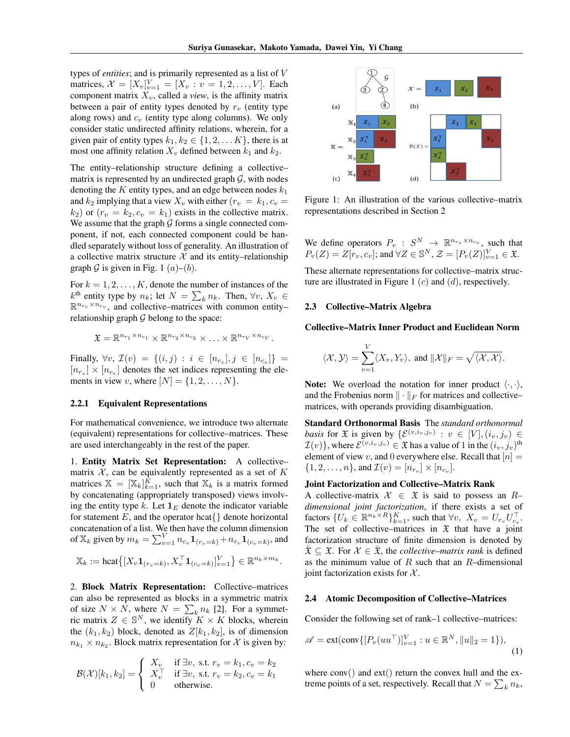types of *entities*; and is primarily represented as a list of V matrices,  $\mathcal{X} = [X_v]_{v=1}^V = [X_v : v = 1, 2, ..., V]$ . Each component matrix  $X_v$ , called a *view*, is the affinity matrix between a pair of entity types denoted by  $r_v$  (entity type along rows) and  $c_v$  (entity type along columns). We only consider static undirected affinity relations, wherein, for a given pair of entity types  $k_1, k_2 \in \{1, 2, \ldots K\}$ , there is at most one affinity relation  $X_v$  defined between  $k_1$  and  $k_2$ .

The entity–relationship structure defining a collective– matrix is represented by an undirected graph  $G$ , with nodes denoting the  $K$  entity types, and an edge between nodes  $k_1$ and  $k_2$  implying that a view  $X_v$  with either  $(r_v = k_1, c_v =$  $(k_2)$  or  $(r_v = k_2, c_v = k_1)$  exists in the collective matrix. We assume that the graph  $G$  forms a single connected component, if not, each connected component could be handled separately without loss of generality. An illustration of a collective matrix structure  $X$  and its entity–relationship graph G is given in Fig. 1  $(a)$ – $(b)$ .

For  $k = 1, 2, \ldots, K$ , denote the number of instances of the  $k^{\text{th}}$  entity type by  $n_k$ ; let  $N = \sum_k n_k$ . Then,  $\forall v, X_v \in$  $\mathbb{R}^{n_{r_v}\times n_{c_v}}$ , and collective–matrices with common entity– relationship graph  $G$  belong to the space:

$$
\mathfrak{X} = \mathbb{R}^{n_{r_1} \times n_{c_1}} \times \mathbb{R}^{n_{r_2} \times n_{c_2}} \times \ldots \times \mathbb{R}^{n_{r_V} \times n_{c_V}}.
$$

Finally,  $\forall v, \mathcal{I}(v) = \{(i, j) : i \in [n_{r_v}], j \in [n_{c_v}]\} =$  $[n_{r_v}] \times [n_{c_v}]$  denotes the set indices representing the elements in view v, where  $[N] = \{1, 2, \ldots, N\}.$ 

#### 2.2.1 Equivalent Representations

For mathematical convenience, we introduce two alternate (equivalent) representations for collective–matrices. These are used interchangeably in the rest of the paper.

1. Entity Matrix Set Representation: A collective– matrix  $X$ , can be equivalently represented as a set of  $K$ matrices  $X = [X_k]_{k=1}^K$ , such that  $X_k$  is a matrix formed by concatenating (appropriately transposed) views involving the entity type k. Let  $\mathbf{1}_E$  denote the indicator variable for statement  $E$ , and the operator hcat $\{\}$  denote horizontal concatenation of a list. We then have the column dimension of  $\mathbb{X}_k$  given by  $m_k = \sum_{v=1}^V n_{c_v} \mathbf{1}_{(r_v=k)} + n_{r_v} \mathbf{1}_{(c_v=k)}$ , and

$$
\mathbb{X}_k := \text{hcat}\big\{ \big[X_v \mathbf{1}_{(r_v=k)}, X_v^\top \mathbf{1}_{(c_v=k)}\big]_{v=1}^V \big\} \in \mathbb{R}^{n_k \times m_k}.
$$

2. Block Matrix Representation: Collective–matrices can also be represented as blocks in a symmetric matrix of size  $N \times N$ , where  $N = \sum_{k} n_k$  [2]. For a symmetric matrix  $Z \in \mathbb{S}^N$ , we identify  $K \times K$  blocks, wherein the  $(k_1, k_2)$  block, denoted as  $Z[k_1, k_2]$ , is of dimension  $n_{k_1} \times n_{k_2}$ . Block matrix representation for X is given by:

$$
\mathcal{B}(\mathcal{X})[k_1,k_2] = \left\{\begin{array}{ll} X_v & \text{if } \exists v, \text{ s.t. } r_v = k_1, c_v = k_2 \\ X_v^\top & \text{if } \exists v, \text{ s.t. } r_v = k_2, c_v = k_1 \\ 0 & \text{otherwise.} \end{array}\right.
$$



Figure 1: An illustration of the various collective–matrix representations described in Section 2

We define operators  $P_v : S^N \to \mathbb{R}^{n_{r_v} \times n_{c_v}}$ , such that  $P_v(Z) = Z[r_v, c_v]$ ; and  $\forall Z \in \mathbb{S}^N$ ,  $\mathcal{Z} = [P_v(Z)]_{v=1}^V \in \mathfrak{X}$ .

These alternate representations for collective–matrix structure are illustrated in Figure 1  $(c)$  and  $(d)$ , respectively.

#### 2.3 Collective–Matrix Algebra

#### Collective–Matrix Inner Product and Euclidean Norm

$$
\langle \mathcal{X}, \mathcal{Y} \rangle = \sum_{v=1}^{V} \langle X_v, Y_v \rangle
$$
, and  $\|\mathcal{X}\|_F = \sqrt{\langle \mathcal{X}, \mathcal{X} \rangle}$ .

**Note:** We overload the notation for inner product  $\langle \cdot, \cdot \rangle$ , and the Frobenius norm  $\|\cdot\|_F$  for matrices and collective– matrices, with operands providing disambiguation.

Standard Orthonormal Basis The *standard orthonormal basis* for  $\mathfrak X$  is given by  $\{\mathcal E^{(v,i_v,j_v)} : v \in [V], (i_v, j_v) \in$  $\mathcal{I}(v)$ }, where  $\mathcal{E}^{(v,i_v,j_v)} \in \mathfrak{X}$  has a value of 1 in the  $(i_v, j_v)$ <sup>th</sup> element of view v, and 0 everywhere else. Recall that  $[n] =$  $\{1, 2, ..., n\}$ , and  $\mathcal{I}(v) = [n_{r_v}] \times [n_{c_v}]$ .

#### Joint Factorization and Collective–Matrix Rank

A collective-matrix  $\mathcal{X} \in \mathfrak{X}$  is said to possess an  $R$ *dimensional joint factorization*, if there exists a set of factors  $\{U_k \in \mathbb{R}^{n_k \times R}\}_{k=1}^K$ , such that  $\forall v, X_v = U_{r_v} U_{c_v}^{\top}$ . The set of collective–matrices in  $\mathfrak X$  that have a joint factorization structure of finite dimension is denoted by  $\overline{\mathfrak{X}} \subseteq \mathfrak{X}$ . For  $\mathcal{X} \in \overline{\mathfrak{X}}$ , the *collective–matrix rank* is defined as the minimum value of  $R$  such that an  $R$ –dimensional joint factorization exists for  $X$ .

#### 2.4 Atomic Decomposition of Collective–Matrices

Consider the following set of rank–1 collective–matrices:

$$
\mathscr{A} = \text{ext}(\text{conv}\{[P_v(uu^\top)]_{v=1}^V : u \in \mathbb{R}^N, ||u||_2 = 1\}),\tag{1}
$$

where  $conv()$  and  $ext()$  return the convex hull and the extreme points of a set, respectively. Recall that  $N = \sum_{k} n_k$ ,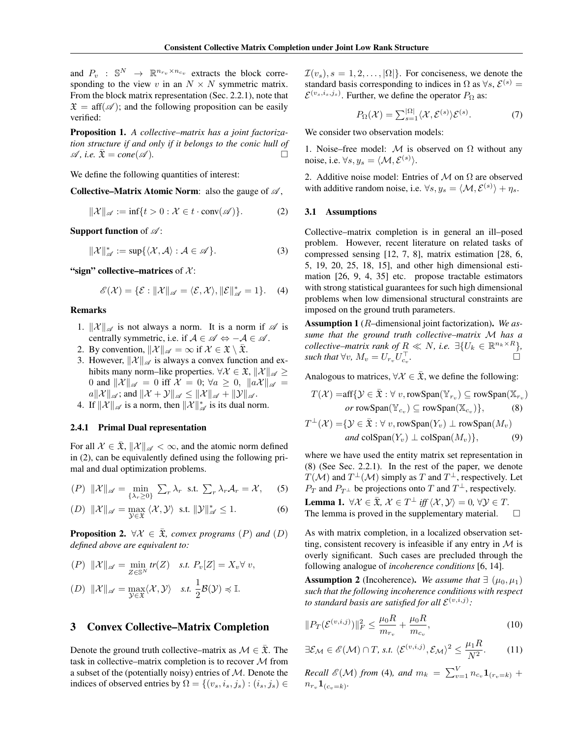and  $P_v$  :  $\mathbb{S}^N \to \mathbb{R}^{n_{r_v} \times n_{c_v}}$  extracts the block corresponding to the view v in an  $N \times N$  symmetric matrix. From the block matrix representation (Sec. 2.2.1), note that  $\mathfrak{X} = \text{aff}(\mathcal{A})$ ; and the following proposition can be easily verified:

Proposition 1. *A collective–matrix has a joint factorization structure if and only if it belongs to the conic hull of*  $\mathscr{A}$ , *i.e.*  $\overline{\mathfrak{X}} = cone(\mathscr{A})$ .

We define the following quantities of interest:

Collective–Matrix Atomic Norm: also the gauge of  $\mathscr A$ ,

$$
\|\mathcal{X}\|_{\mathscr{A}} := \inf\{t > 0 : \mathcal{X} \in t \cdot \text{conv}(\mathscr{A})\}.
$$
 (2)

**Support function** of  $\mathscr{A}$ :

$$
\|\mathcal{X}\|_{\mathscr{A}}^* := \sup\{\langle \mathcal{X}, \mathcal{A} \rangle : \mathcal{A} \in \mathscr{A}\}.
$$
 (3)

"sign" collective–matrices of  $\mathcal{X}$ :

$$
\mathscr{E}(\mathcal{X}) = \{\mathcal{E} : ||\mathcal{X}||_{\mathscr{A}} = \langle \mathcal{E}, \mathcal{X} \rangle, ||\mathcal{E}||_{\mathscr{A}}^* = 1\}.
$$
 (4)

### Remarks

- 1.  $\|\mathcal{X}\|_{\mathscr{A}}$  is not always a norm. It is a norm if  $\mathscr{A}$  is centrally symmetric, i.e. if  $A \in \mathcal{A} \Leftrightarrow -A \in \mathcal{A}$ .
- 2. By convention,  $\|\mathcal{X}\|_{\mathscr{A}} = \infty$  if  $\mathcal{X} \in \mathfrak{X} \setminus \overline{\mathfrak{X}}$ .
- 3. However,  $\|\mathcal{X}\|_{\mathscr{A}}$  is always a convex function and exhibits many norm–like properties.  $\forall \mathcal{X} \in \mathfrak{X}, ||\mathcal{X}||_{\mathscr{A}} \geq$ 0 and  $\|\mathcal{X}\|_{\mathscr{A}} = 0$  iff  $\mathcal{X} = 0$ ;  $\forall a \geq 0$ ,  $\|a\mathcal{X}\|_{\mathscr{A}} =$  $a\|\mathcal{X}\|_{\mathscr{A}}$ ; and  $\|\mathcal{X} + \mathcal{Y}\|_{\mathscr{A}} \leq \|\mathcal{X}\|_{\mathscr{A}} + \|\mathcal{Y}\|_{\mathscr{A}}$ .
- 4. If  $\|\mathcal{X}\|_{\mathscr{A}}$  is a norm, then  $\|\mathcal{X}\|_{\mathscr{A}}^*$  is its dual norm.

#### 2.4.1 Primal Dual representation

For all  $\mathcal{X} \in \overline{\mathfrak{X}}, \|\mathcal{X}\|_{\mathscr{A}} < \infty$ , and the atomic norm defined in (2), can be equivalently defined using the following primal and dual optimization problems.

$$
(P) \|\mathcal{X}\|_{\mathscr{A}} = \min_{\{\lambda_r \ge 0\}} \sum_r \lambda_r \text{ s.t. } \sum_r \lambda_r \mathcal{A}_r = \mathcal{X}, \quad (5)
$$

(D) 
$$
\|\mathcal{X}\|_{\mathscr{A}} = \max_{\mathcal{Y} \in \mathfrak{X}} \langle \mathcal{X}, \mathcal{Y} \rangle
$$
 s.t.  $\|\mathcal{Y}\|_{\mathscr{A}}^* \le 1$ . (6)

**Proposition 2.**  $\forall \mathcal{X} \in \overline{\mathfrak{X}}$ *, convex programs*  $(P)$  *and*  $(D)$ *defined above are equivalent to:*

$$
(P) \quad \|\mathcal{X}\|_{\mathscr{A}} = \min_{Z \in \mathbb{S}^N} tr(Z) \quad \text{s.t. } P_v[Z] = X_v \forall \ v,
$$
\n
$$
(D) \quad \|\mathcal{X}\|_{\mathscr{A}} = \max_{\mathcal{Y} \in \mathfrak{X}} \langle \mathcal{X}, \mathcal{Y} \rangle \quad \text{s.t. } \frac{1}{2} \mathcal{B}(\mathcal{Y}) \preccurlyeq \mathbb{I}.
$$

## 3 Convex Collective–Matrix Completion

Denote the ground truth collective–matrix as  $\mathcal{M} \in \overline{\mathfrak{X}}$ . The task in collective–matrix completion is to recover  $M$  from a subset of the (potentially noisy) entries of  $M$ . Denote the indices of observed entries by  $\Omega = \{(v_s, i_s, j_s) : (i_s, j_s) \in$ 

 $\mathcal{I}(v_s)$ ,  $s = 1, 2, \dots, |\Omega|$ . For conciseness, we denote the standard basis corresponding to indices in  $\Omega$  as  $\forall s, \mathcal{E}^{(s)} =$  $\mathcal{E}^{(v_s,i_s,j_s)}$ . Further, we define the operator  $P_{\Omega}$  as:

$$
P_{\Omega}(\mathcal{X}) = \sum_{s=1}^{|\Omega|} \langle \mathcal{X}, \mathcal{E}^{(s)} \rangle \mathcal{E}^{(s)}.
$$
 (7)

We consider two observation models:

1. Noise–free model:  $M$  is observed on  $\Omega$  without any noise, i.e.  $\forall s, y_s = \langle \mathcal{M}, \mathcal{E}^{(s)} \rangle$ .

2. Additive noise model: Entries of  $M$  on  $\Omega$  are observed with additive random noise, i.e.  $\forall s, y_s = \langle \mathcal{M}, \mathcal{E}^{(s)} \rangle + \eta_s$ .

#### 3.1 Assumptions

Collective–matrix completion is in general an ill–posed problem. However, recent literature on related tasks of compressed sensing [12, 7, 8], matrix estimation [28, 6, 5, 19, 20, 25, 18, 15], and other high dimensional estimation [26, 9, 4, 35] etc. propose tractable estimators with strong statistical guarantees for such high dimensional problems when low dimensional structural constraints are imposed on the ground truth parameters.

Assumption 1 (R–dimensional joint factorization). *We assume that the ground truth collective–matrix* M *has a collective–matrix rank of*  $R \ll N$ *, i.e.*  $\exists \{U_k \in \mathbb{R}^{n_k \times R}\},$ *such that*  $\forall v, M_v = U_{r_v} U_{c_v}^{\top}$ *.*

Analogous to matrices,  $\forall \mathcal{X} \in \overline{\mathfrak{X}}$ , we define the following:

$$
T(\mathcal{X}) = \text{aff}\{\mathcal{Y} \in \bar{\mathfrak{X}} : \forall v, \text{rowSpan}(\mathbb{Y}_{r_v}) \subseteq \text{rowSpan}(\mathbb{X}_{r_v})\}
$$
  
or rowSpan $(\mathbb{Y}_{c_v}) \subseteq \text{rowSpan}(\mathbb{X}_{c_v})\}$ , (8)

$$
T^{\perp}(\mathcal{X}) = \{ \mathcal{Y} \in \bar{\mathfrak{X}} : \forall v, \text{rowSpan}(Y_v) \perp \text{rowSpan}(M_v) and \text{colSpan}(Y_v) \perp \text{colSpan}(M_v) \},
$$
(9)

where we have used the entity matrix set representation in (8) (See Sec. 2.2.1). In the rest of the paper, we denote  $T(\mathcal{M})$  and  $T^{\perp}(\mathcal{M})$  simply as T and  $T^{\perp}$ , respectively. Let  $P_T$  and  $P_{T^{\perp}}$  be projections onto T and  $T^{\perp}$ , respectively.

**Lemma 1.**  $\forall \mathcal{X} \in \overline{\mathfrak{X}}, \mathcal{X} \in T^{\perp} \text{ iff } \langle \mathcal{X}, \mathcal{Y} \rangle = 0, \forall \mathcal{Y} \in T.$ The lemma is proved in the supplementary material.  $\Box$ 

As with matrix completion, in a localized observation setting, consistent recovery is infeasible if any entry in  $\mathcal M$  is overly significant. Such cases are precluded through the following analogue of *incoherence conditions* [6, 14].

**Assumption 2** (Incoherence). We assume that  $\exists (\mu_0, \mu_1)$ *such that the following incoherence conditions with respect* to standard basis are satisfied for all  $\mathcal{E}^{(v,i,j)}$ :

$$
||P_T(\mathcal{E}^{(v,i,j)})||_F^2 \le \frac{\mu_0 R}{m_{r_v}} + \frac{\mu_0 R}{m_{c_v}},
$$
\n(10)

$$
\exists \mathcal{E}_{\mathcal{M}} \in \mathscr{E}(\mathcal{M}) \cap T, \text{ s.t. } \langle \mathcal{E}^{(v,i,j)}, \mathcal{E}_{\mathcal{M}} \rangle^2 \le \frac{\mu_1 R}{N^2}.
$$
 (11)

*Recall*  $\mathscr{E}(\mathcal{M})$  *from* (4)*, and*  $m_k = \sum_{v=1}^{V} n_{c_v} \mathbf{1}_{(r_v=k)} +$  $n_{r_v} \mathbf{1}_{(c_v=k)}$ .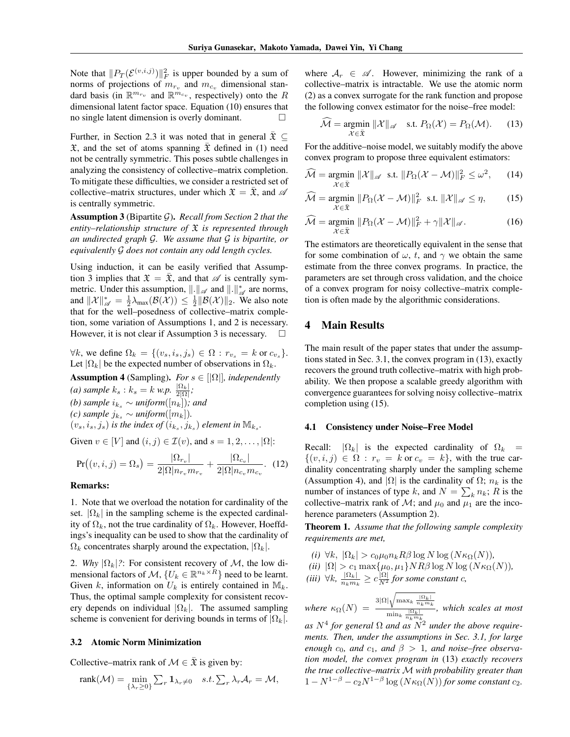Note that  $||P_T(\mathcal{E}^{(v,i,j)})||_F^2$  is upper bounded by a sum of norms of projections of  $m_{r_v}$  and  $m_{c_v}$  dimensional standard basis (in  $\mathbb{R}^{m_{r_v}}$  and  $\mathbb{R}^{m_{c_v}}$ , respectively) onto the R dimensional latent factor space. Equation (10) ensures that no single latent dimension is overly dominant.

Further, in Section 2.3 it was noted that in general  $\bar{\mathfrak{X}} \subseteq$  $\mathfrak X$ , and the set of atoms spanning  $\bar{\mathfrak X}$  defined in (1) need not be centrally symmetric. This poses subtle challenges in analyzing the consistency of collective–matrix completion. To mitigate these difficulties, we consider a restricted set of collective–matrix structures, under which  $\mathfrak{X} = \mathfrak{X}$ , and  $\mathscr{A}$ is centrally symmetric.

Assumption 3 (Bipartite G). *Recall from Section 2 that the entity–relationship structure of* X *is represented through an undirected graph* G*. We assume that* G *is bipartite, or equivalently* G *does not contain any odd length cycles.*

Using induction, it can be easily verified that Assumption 3 implies that  $\mathfrak{X} = \overline{\mathfrak{X}}$ , and that  $\mathscr A$  is centrally symmetric. Under this assumption,  $\|\cdot\|_{\mathscr{A}}$  and  $\|\cdot\|_{\mathscr{A}}^*$  are norms, and  $||\mathcal{X}||_{\mathscr{A}}^* = \frac{1}{2}\lambda_{\max}(\mathcal{B}(\mathcal{X})) \leq \frac{1}{2}||\mathcal{B}(\mathcal{X})||_2$ . We also note that for the well–posedness of collective–matrix completion, some variation of Assumptions 1, and 2 is necessary. However, it is not clear if Assumption 3 is necessary.  $\square$ 

 $\forall k$ , we define  $\Omega_k = \{ (v_s, i_s, j_s) \in \Omega : r_{v_s} = k \text{ or } c_{v_s} \}.$ Let  $|\Omega_k|$  be the expected number of observations in  $\Omega_k$ .

**Assumption 4** (Sampling). *For*  $s \in [|\Omega|]$ *, independently (a)* sample  $k_s : k_s = k$  w.p.  $\frac{|\Omega_k|}{2|\Omega|}$ ; *(b) sample*  $i_k$ <sub>s</sub> ∼ *uniform*( $[n_k]$ )*; and (c)* sample  $j_{k_s}$  ∼ *uniform*( $[m_k]$ ).  $(v_s, i_s, j_s)$  *is the index of*  $(i_{k_s}, j_{k_s})$  *element in*  $\mathbb{M}_{k_s}$ *.* 

Given  $v \in [V]$  and  $(i, j) \in \mathcal{I}(v)$ , and  $s = 1, 2, \ldots, |\Omega|$ :

$$
Pr((v, i, j) = \Omega_s) = \frac{|\Omega_{r_v}|}{2|\Omega|n_{r_v}m_{r_v}} + \frac{|\Omega_{c_v}|}{2|\Omega|n_{c_v}m_{c_v}}.
$$
 (12)

#### Remarks:

1. Note that we overload the notation for cardinality of the set.  $|\Omega_k|$  in the sampling scheme is the expected cardinality of  $\Omega_k$ , not the true cardinality of  $\Omega_k$ . However, Hoeffdings's inequality can be used to show that the cardinality of  $\Omega_k$  concentrates sharply around the expectation,  $|\Omega_k|$ .

2. *Why*  $|\Omega_k|$ ?: For consistent recovery of *M*, the low dimensional factors of  $\mathcal{M}, \{U_k \in \mathbb{R}^{n_k \times R}\}\)$  need to be learnt. Given k, information on  $U_k$  is entirely contained in  $\mathbb{M}_k$ . Thus, the optimal sample complexity for consistent recovery depends on individual  $|\Omega_k|$ . The assumed sampling scheme is convenient for deriving bounds in terms of  $|\Omega_k|$ .

#### 3.2 Atomic Norm Minimization

Collective–matrix rank of  $\mathcal{M} \in \mathfrak{X}$  is given by:

$$
rank(\mathcal{M}) = \min_{\{\lambda_r \geq 0\}} \sum_r \mathbf{1}_{\lambda_r \neq 0} \quad s.t. \sum_r \lambda_r \mathcal{A}_r = \mathcal{M},
$$

where  $A_r \in \mathcal{A}$ . However, minimizing the rank of a collective–matrix is intractable. We use the atomic norm (2) as a convex surrogate for the rank function and propose the following convex estimator for the noise–free model:

$$
\widehat{\mathcal{M}} = \underset{\mathcal{X} \in \bar{\mathfrak{X}}}{\operatorname{argmin}} \|\mathcal{X}\|_{\mathscr{A}} \quad \text{s.t. } P_{\Omega}(\mathcal{X}) = P_{\Omega}(\mathcal{M}). \tag{13}
$$

For the additive–noise model, we suitably modify the above convex program to propose three equivalent estimators:

$$
\widehat{\mathcal{M}} = \underset{\mathcal{X} \in \bar{\mathfrak{X}}}{\operatorname{argmin}} \ \|\mathcal{X}\|_{\mathscr{A}} \ \text{ s.t. } \|P_{\Omega}(\mathcal{X} - \mathcal{M})\|_{F}^{2} \leq \omega^{2}, \qquad (14)
$$

$$
\widehat{\mathcal{M}} = \underset{\mathcal{X} \in \bar{\mathfrak{X}}} {\operatorname{argmin}} \ \| P_{\Omega} (\mathcal{X} - \mathcal{M}) \|_F^2 \ \text{ s.t. } \| \mathcal{X} \|_{\mathscr{A}} \le \eta, \tag{15}
$$

$$
\widehat{\mathcal{M}} = \underset{\mathcal{X} \in \overline{\mathfrak{X}}}{\operatorname{argmin}} \ \| P_{\Omega} (\mathcal{X} - \mathcal{M}) \|_{F}^{2} + \gamma \| \mathcal{X} \|_{\mathscr{A}}.
$$
 (16)

The estimators are theoretically equivalent in the sense that for some combination of  $\omega$ , t, and  $\gamma$  we obtain the same estimate from the three convex programs. In practice, the parameters are set through cross validation, and the choice of a convex program for noisy collective–matrix completion is often made by the algorithmic considerations.

# 4 Main Results

The main result of the paper states that under the assumptions stated in Sec. 3.1, the convex program in (13), exactly recovers the ground truth collective–matrix with high probability. We then propose a scalable greedy algorithm with convergence guarantees for solving noisy collective–matrix completion using (15).

#### 4.1 Consistency under Noise–Free Model

Recall:  $|\Omega_k|$  is the expected cardinality of  $\Omega_k$  =  $\{(v, i, j) \in \Omega : r_v = k \text{ or } c_v = k\},\$  with the true cardinality concentrating sharply under the sampling scheme (Assumption 4), and  $|\Omega|$  is the cardinality of  $\Omega$ ;  $n_k$  is the number of instances of type k, and  $N = \sum_{k} n_k$ ; R is the collective–matrix rank of  $\mathcal{M}$ ; and  $\mu_0$  and  $\mu_1$  are the incoherence parameters (Assumption 2).

Theorem 1. *Assume that the following sample complexity requirements are met,*

- *(i)*  $\forall k, |\Omega_k| > c_0 \mu_0 n_k R \beta \log N \log (N \kappa_{\Omega}(N)),$
- *(ii)*  $|\Omega| > c_1 \max{\mu_0, \mu_1} N R \beta \log N \log(N \kappa_{\Omega}(N))$ ,

(iii) 
$$
\forall k, \frac{|\Omega_k|}{n_k m_k} \ge c \frac{|\Omega|}{N^2}
$$
 for some constant c,

where  $\kappa_{\Omega}(N) = \frac{3|\Omega|\sqrt{\max_k \frac{|\Omega_k|}{n_k m_k}}}{\min_{|\Omega_k|} |\Omega_k|}$  $\min_k \frac{|\Omega_k|}{n_k m_k}$ *, which scales at most*

 $as\;N^4$  for general  $\Omega$  and as  $N^2$  under the above require*ments. Then, under the assumptions in Sec. 3.1, for large enough*  $c_0$ *, and*  $c_1$ *, and*  $\beta > 1$ *, and noise–free observation model, the convex program in* (13) *exactly recovers the true collective–matrix* M *with probability greater than*  $1 - N^{1-\beta} - c_2 N^{1-\beta} \log(N \kappa_{\Omega}(N))$  *for some constant*  $c_2$ *.*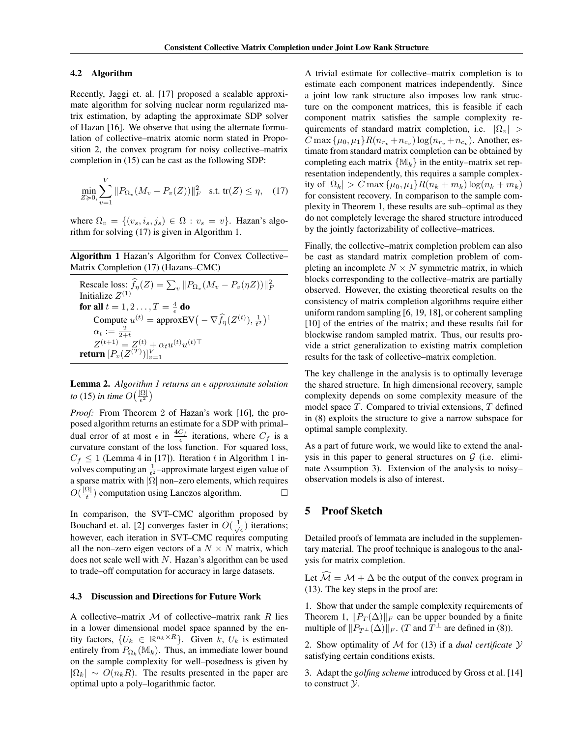#### 4.2 Algorithm

Recently, Jaggi et. al. [17] proposed a scalable approximate algorithm for solving nuclear norm regularized matrix estimation, by adapting the approximate SDP solver of Hazan [16]. We observe that using the alternate formulation of collective–matrix atomic norm stated in Proposition 2, the convex program for noisy collective–matrix completion in (15) can be cast as the following SDP:

$$
\min_{Z \geq 0,} \sum_{v=1}^{V} \| P_{\Omega_v} (M_v - P_v(Z)) \|_F^2 \quad \text{s.t. } \text{tr}(Z) \leq \eta, \quad (17)
$$

where  $\Omega_v = \{(v_s, i_s, j_s) \in \Omega : v_s = v\}$ . Hazan's algorithm for solving (17) is given in Algorithm 1.

Algorithm 1 Hazan's Algorithm for Convex Collective– Matrix Completion (17) (Hazans–CMC)

| Rescale loss: $f_{\eta}(Z) = \sum_{v}   P_{\Omega_{v}}(M_{v} - P_{v}(\eta Z))  _{F}^{2}$         |
|--------------------------------------------------------------------------------------------------|
| Initialize $Z^{(1)}$                                                                             |
| for all $t = 1, 2 \ldots, T = \frac{4}{5}$ do                                                    |
| Compute $u^{(t)} =$ approxEV $\left(-\nabla \widehat{f}_{\eta}(Z^{(t)}), \frac{1}{t^2}\right)^1$ |
| $\alpha_t := \frac{2}{2+t}$                                                                      |
| $Z^{(t+1)} = Z^{(t)} + \alpha_t u^{(t)} u^{(t)\top}$ return $[P_v(Z^{(T)})]_{v=1}^V$             |
|                                                                                                  |

Lemma 2. *Algorithm 1 returns an approximate solution to* (15) *in time*  $O(\frac{|\Omega|}{\epsilon^2})$ 

*Proof:* From Theorem 2 of Hazan's work [16], the proposed algorithm returns an estimate for a SDP with primal– dual error of at most  $\epsilon$  in  $\frac{4C_f}{\epsilon}$  iterations, where  $C_f$  is a curvature constant of the loss function. For squared loss,  $C_f \leq 1$  (Lemma 4 in [17]). Iteration t in Algorithm 1 involves computing an  $\frac{1}{t^2}$ -approximate largest eigen value of a sparse matrix with  $|\Omega|$  non–zero elements, which requires  $O(\frac{|\Omega|}{t})$  $\frac{d\Omega}{dt}$ ) computation using Lanczos algorithm.  $\Box$ 

In comparison, the SVT–CMC algorithm proposed by Bouchard et. al. [2] converges faster in  $O(\frac{1}{\sqrt{\epsilon}})$  iterations; however, each iteration in SVT–CMC requires computing all the non–zero eigen vectors of a  $N \times N$  matrix, which does not scale well with  $N$ . Hazan's algorithm can be used to trade–off computation for accuracy in large datasets.

#### 4.3 Discussion and Directions for Future Work

A collective–matrix  $M$  of collective–matrix rank R lies in a lower dimensional model space spanned by the entity factors,  $\{U_k \in \mathbb{R}^{n_k \times R}\}$ . Given  $k$ ,  $U_k$  is estimated entirely from  $P_{\Omega_k}(\mathbb{M}_k)$ . Thus, an immediate lower bound on the sample complexity for well–posedness is given by  $|\Omega_k| \sim O(n_k R)$ . The results presented in the paper are optimal upto a poly–logarithmic factor.

A trivial estimate for collective–matrix completion is to estimate each component matrices independently. Since a joint low rank structure also imposes low rank structure on the component matrices, this is feasible if each component matrix satisfies the sample complexity requirements of standard matrix completion, i.e.  $|\Omega_v|$  >  $C \max{\{\mu_0, \mu_1\}} R(n_{r_v} + n_{c_v}) \log(n_{r_v} + n_{c_v})$ . Another, estimate from standard matrix completion can be obtained by completing each matrix  $\{M_k\}$  in the entity–matrix set representation independently, this requires a sample complexity of  $|\Omega_k| > C \max\{\mu_0, \mu_1\} R(n_k + m_k) \log(n_k + m_k)$ for consistent recovery. In comparison to the sample complexity in Theorem 1, these results are sub–optimal as they do not completely leverage the shared structure introduced by the jointly factorizability of collective–matrices.

Finally, the collective–matrix completion problem can also be cast as standard matrix completion problem of completing an incomplete  $N \times N$  symmetric matrix, in which blocks corresponding to the collective–matrix are partially observed. However, the existing theoretical results on the consistency of matrix completion algorithms require either uniform random sampling [6, 19, 18], or coherent sampling [10] of the entries of the matrix; and these results fail for blockwise random sampled matrix. Thus, our results provide a strict generalization to existing matrix completion results for the task of collective–matrix completion.

The key challenge in the analysis is to optimally leverage the shared structure. In high dimensional recovery, sample complexity depends on some complexity measure of the model space T. Compared to trivial extensions, T defined in (8) exploits the structure to give a narrow subspace for optimal sample complexity.

As a part of future work, we would like to extend the analysis in this paper to general structures on  $G$  (i.e. eliminate Assumption 3). Extension of the analysis to noisy– observation models is also of interest.

# 5 Proof Sketch

Detailed proofs of lemmata are included in the supplementary material. The proof technique is analogous to the analysis for matrix completion.

Let  $\widehat{\mathcal{M}} = \mathcal{M} + \Delta$  be the output of the convex program in (13). The key steps in the proof are:

1. Show that under the sample complexity requirements of Theorem 1,  $||P_T(\Delta)||_F$  can be upper bounded by a finite multiple of  $||P_{T^{\perp}}(\Delta)||_F$ . (*T* and  $T^{\perp}$  are defined in (8)).

2. Show optimality of M for (13) if a *dual certificate* Y satisfying certain conditions exists.

3. Adapt the *golfing scheme* introduced by Gross et al. [14] to construct  $\mathcal{Y}$ .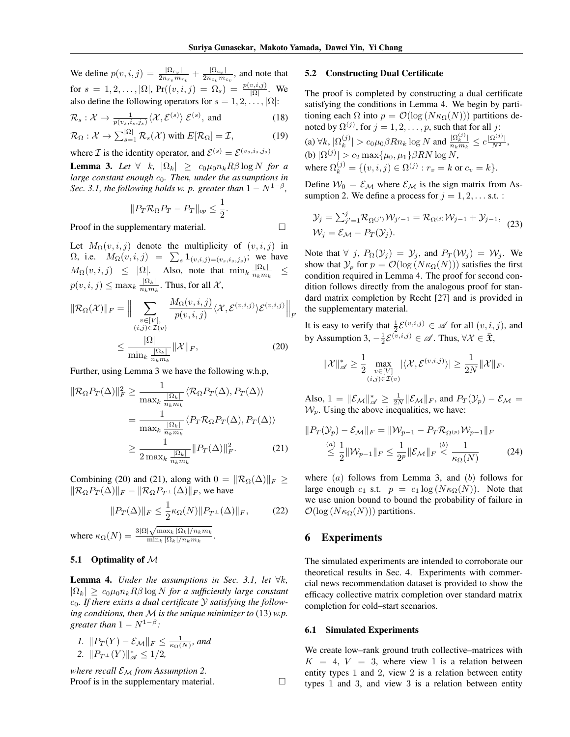We define  $p(v, i, j) = \frac{|\Omega_{rv}|}{2n}$  $\frac{|\Omega_{r_v}|}{2n_{r_v}m_{r_v}}+\frac{|\Omega_{c_v}|}{2n_{c_v}m_v}$  $\frac{1}{2n_{c_v}m_{c_v}}$ , and note that for  $s = 1, 2, ..., |\Omega|$ ,  $Pr((v, i, j) = \Omega_s) = \frac{p(v, i, j)}{|\Omega|}$ . We also define the following operators for  $s = 1, 2, \ldots, |\Omega|$ :

$$
\mathcal{R}_s: \mathcal{X} \to \frac{1}{p(v_s, i_s, j_s)} \langle \mathcal{X}, \mathcal{E}^{(s)} \rangle \ \mathcal{E}^{(s)}, \text{ and}
$$
 (18)

$$
\mathcal{R}_{\Omega}: \mathcal{X} \to \sum_{s=1}^{|\Omega|} \mathcal{R}_s(\mathcal{X}) \text{ with } E[\mathcal{R}_{\Omega}] = \mathcal{I},\tag{19}
$$

where *I* is the identity operator, and  $\mathcal{E}^{(s)} = \mathcal{E}^{(v_s, i_s, j_s)}$ 

**Lemma 3.** Let  $\forall$  k,  $|\Omega_k| \geq c_0 \mu_0 n_k R \beta \log N$  for a *large constant enough*  $c_0$ *. Then, under the assumptions in Sec.* 3.1, the following holds w. p. greater than  $1 - N^{1-\beta}$ ,

$$
||P_T \mathcal{R}_{\Omega} P_T - P_T||_{op} \le \frac{1}{2}.
$$

Proof in the supplementary material.

Let  $M_{\Omega}(v, i, j)$  denote the multiplicity of  $(v, i, j)$  in  $\Omega$ , i.e.  $M_{\Omega}(v, i, j) = \sum_{s} \mathbf{1}_{(v, i, j) = (v_s, i_s, j_s)}$ ; we have  $M_{\Omega}(v, i, j) \leq |\Omega|$ . Also, note that  $\min_{k} \frac{|\Omega_k|}{n_k m_j}$  $\frac{n}{n_k m_k}$   $\leq$  $p(v, i, j) \leq \max_k \frac{|\Omega_k|}{n_k m_j}$  $\frac{|\Omega_k|}{n_k m_k}$ . Thus, for all  $\mathcal{X},$ 

$$
\|\mathcal{R}_{\Omega}(\mathcal{X})\|_{F} = \Big\|\sum_{\substack{v \in [V],\\(i,j) \in \mathcal{I}(v)}} \frac{M_{\Omega}(v,i,j)}{p(v,i,j)} \langle \mathcal{X}, \mathcal{E}^{(v,i,j)} \rangle \mathcal{E}^{(v,i,j)}\Big\|_{F}
$$

$$
\leq \frac{|\Omega|}{\min_{k} \frac{|\Omega_{k}|}{n_{k} m_{k}}} \|\mathcal{X}\|_{F},
$$
(20)

Further, using Lemma 3 we have the following w.h.p,

$$
\|\mathcal{R}_{\Omega}P_T(\Delta)\|_F^2 \ge \frac{1}{\max_k \frac{|\Omega_k|}{n_k m_k}} \langle \mathcal{R}_{\Omega}P_T(\Delta), P_T(\Delta) \rangle
$$
  
= 
$$
\frac{1}{\max_k \frac{|\Omega_k|}{n_k m_k}} \langle P_T \mathcal{R}_{\Omega}P_T(\Delta), P_T(\Delta) \rangle
$$
  

$$
\ge \frac{1}{2 \max_k \frac{|\Omega_k|}{n_k m_k}} \|P_T(\Delta)\|_F^2.
$$
 (21)

Combining (20) and (21), along with  $0 = ||\mathcal{R}_{\Omega}(\Delta)||_F \ge$  $\|\mathcal{R}_{\Omega}P_T(\Delta)\|_F - \|\mathcal{R}_{\Omega}P_{T^{\perp}}(\Delta)\|_F$ , we have

$$
||P_T(\Delta)||_F \le \frac{1}{2} \kappa_{\Omega}(N) ||P_{T^{\perp}}(\Delta)||_F, \qquad (22)
$$

where  $\kappa_{\Omega}(N) = \frac{3|\Omega|\sqrt{\max_k |\Omega_k|/n_k m_k}}{\min_k |\Omega_k|/n_k m_k}$  $\min_k |\Omega_k|/n_k m_k$ .

## 5.1 Optimality of  $M$

**Lemma 4.** *Under the assumptions in Sec. 3.1, let*  $\forall k$ ,  $|\Omega_k| \geq c_0 \mu_0 n_k R \beta \log N$  *for a sufficiently large constant* c0*. If there exists a dual certificate* Y *satisfying the following conditions, then* M *is the unique minimizer to* (13) *w.p. greater than*  $1 - N^{1-\beta}$ *:* 

1. 
$$
||P_T(Y) - \mathcal{E}_M||_F \le \frac{1}{\kappa_{\Omega}(N)}
$$
, and  
2.  $||P_{T^{\perp}}(Y)||_{\mathscr{A}}^* \le 1/2$ ,

*where recall*  $\mathcal{E}_{\mathcal{M}}$  *from Assumption 2.* Proof is in the supplementary material.

## 5.2 Constructing Dual Certificate

The proof is completed by constructing a dual certificate satisfying the conditions in Lemma 4. We begin by partitioning each  $\Omega$  into  $p = \mathcal{O}(\log(N \kappa_{\Omega}(N)))$  partitions denoted by  $\Omega^{(j)}$ , for  $j=1,2,\ldots,p,$  such that for all  $j$ : (a)  $\forall k, \, |\Omega_k^{(j)}\>$  $|g_k^{(j)}| > c_0 \mu_0 \beta R n_k \log N$  and  $\frac{|\Omega_k^{(j)}|}{n_k m_k}$  $\frac{|\Omega_k^{(j)}|}{n_k m_k} \leq c \frac{|\Omega^{(j)}|}{N^2},$ 

(b)  $|\Omega^{(j)}| > c_2 \max\{\mu_0, \mu_1\} \beta RN \log N,$ where  $\Omega_k^{(j)} = \{ (v, i, j) \in \Omega^{(j)} : r_v = k \text{ or } c_v = k \}.$ 

Define  $W_0 = \mathcal{E}_M$  where  $\mathcal{E}_M$  is the sign matrix from Assumption 2. We define a process for  $j = 1, 2, \ldots$  s.t. :

$$
\mathcal{Y}_j = \sum_{j'=1}^j \mathcal{R}_{\Omega^{(j')}} \mathcal{W}_{j'-1} = \mathcal{R}_{\Omega^{(j)}} \mathcal{W}_{j-1} + \mathcal{Y}_{j-1},
$$
  

$$
\mathcal{W}_j = \mathcal{E}_{\mathcal{M}} - P_T(\mathcal{Y}_j).
$$
 (23)

Note that  $\forall$  j,  $P_{\Omega}(y_i) = y_i$ , and  $P_T(w_i) = W_i$ . We show that  $\mathcal{Y}_p$  for  $p = \mathcal{O}(\log(N\kappa_{\Omega}(N)))$  satisfies the first condition required in Lemma 4. The proof for second condition follows directly from the analogous proof for standard matrix completion by Recht [27] and is provided in the supplementary material.

It is easy to verify that  $\frac{1}{2} \mathcal{E}^{(v,i,j)} \in \mathscr{A}$  for all  $(v, i, j)$ , and by Assumption 3,  $-\frac{1}{2} \mathcal{E}^{(\overline{v},i,j)} \in \mathscr{A}$ . Thus,  $\forall \mathcal{X} \in \overline{\mathfrak{X}}$ ,

$$
\|\mathcal{X}\|_{\mathscr{A}}^*\geq \frac{1}{2}\max_{\substack{v\in [V]\\(i,j)\in \mathcal{I}(v)}}|\langle \mathcal{X}, \mathcal{E}^{(v,i,j)} \rangle|\geq \frac{1}{2N}\|\mathcal{X}\|_F.
$$

Also,  $1 = \|\mathcal{E}_{\mathcal{M}}\|_{\mathscr{A}}^* \ge \frac{1}{2N} \|\mathcal{E}_{\mathcal{M}}\|_F$ , and  $P_T(\mathcal{Y}_p) - \mathcal{E}_{\mathcal{M}} =$  $W_p$ . Using the above inequalities, we have:

$$
||P_T(\mathcal{Y}_p) - \mathcal{E}_{\mathcal{M}}||_F = ||\mathcal{W}_{p-1} - P_T \mathcal{R}_{\Omega^{(p)}} \mathcal{W}_{p-1}||_F
$$
  
\n
$$
\leq \frac{1}{2} ||\mathcal{W}_{p-1}||_F \leq \frac{1}{2^p} ||\mathcal{E}_{\mathcal{M}}||_F \leq \frac{1}{\kappa_{\Omega}(N)} \tag{24}
$$

where  $(a)$  follows from Lemma 3, and  $(b)$  follows for large enough  $c_1$  s.t.  $p = c_1 \log(N \kappa_{\Omega}(N))$ . Note that we use union bound to bound the probability of failure in  $\mathcal{O}(\log(N\kappa_{\Omega}(N)))$  partitions.

## 6 Experiments

The simulated experiments are intended to corroborate our theoretical results in Sec. 4. Experiments with commercial news recommendation dataset is provided to show the efficacy collective matrix completion over standard matrix completion for cold–start scenarios.

#### 6.1 Simulated Experiments

We create low–rank ground truth collective–matrices with  $K = 4$ ,  $V = 3$ , where view 1 is a relation between entity types 1 and 2, view 2 is a relation between entity types 1 and 3, and view 3 is a relation between entity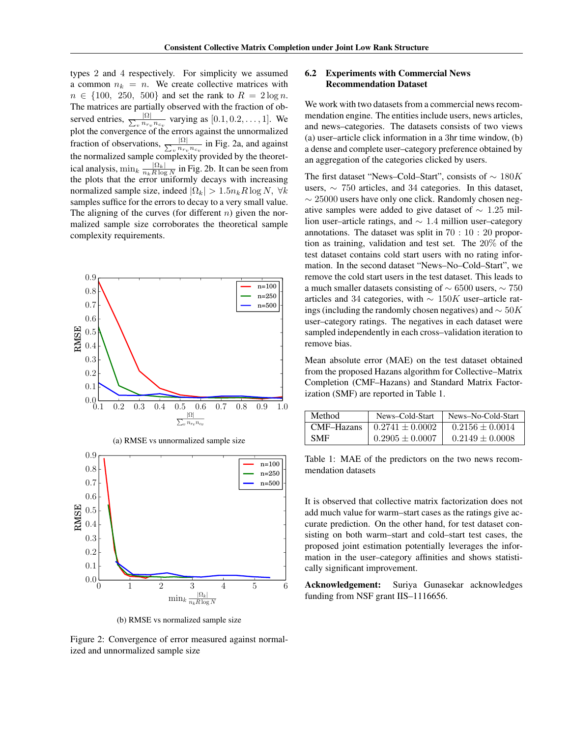types 2 and 4 respectively. For simplicity we assumed a common  $n_k = n$ . We create collective matrices with  $n \in \{100, 250, 500\}$  and set the rank to  $R = 2 \log n$ . The matrices are partially observed with the fraction of observed entries,  $\frac{|\Omega|}{\sum_{n} n_{T_n}}$  $\frac{|\Omega|}{v n_{rv} n_{cv}}$  varying as  $[0.1, 0.2, \dots, 1]$ . We plot the convergence of the errors against the unnormalized fraction of observations,  $\frac{|\Omega|}{\sum_{n} n_{r_n}}$  $\frac{|\Omega|}{v n_{r_v} n_{c_v}}$  in Fig. 2a, and against the normalized sample complexity provided by the theoretical analysis,  $\min_k \frac{|\Omega_k|}{n_k R \log k}$  $\frac{|Y_k|}{n_k R \log N}$  in Fig. 2b. It can be seen from the plots that the error uniformly decays with increasing normalized sample size, indeed  $|\Omega_k| > 1.5n_k R \log N$ ,  $\forall k$ samples suffice for the errors to decay to a very small value. The aligning of the curves (for different  $n$ ) given the normalized sample size corroborates the theoretical sample complexity requirements.



(b) RMSE vs normalized sample size

Figure 2: Convergence of error measured against normalized and unnormalized sample size

## 6.2 Experiments with Commercial News Recommendation Dataset

We work with two datasets from a commercial news recommendation engine. The entities include users, news articles, and news–categories. The datasets consists of two views (a) user–article click information in a 3hr time window, (b) a dense and complete user–category preference obtained by an aggregation of the categories clicked by users.

The first dataset "News–Cold–Start", consists of  $\sim 180K$ users, ∼ 750 articles, and 34 categories. In this dataset,  $\sim$  25000 users have only one click. Randomly chosen negative samples were added to give dataset of  $\sim 1.25$  million user–article ratings, and ∼ 1.4 million user–category annotations. The dataset was split in 70 : 10 : 20 proportion as training, validation and test set. The 20% of the test dataset contains cold start users with no rating information. In the second dataset "News–No–Cold–Start", we remove the cold start users in the test dataset. This leads to a much smaller datasets consisting of ∼ 6500 users, ∼ 750 articles and 34 categories, with  $\sim 150K$  user–article ratings (including the randomly chosen negatives) and  $\sim 50K$ user–category ratings. The negatives in each dataset were sampled independently in each cross–validation iteration to remove bias.

Mean absolute error (MAE) on the test dataset obtained from the proposed Hazans algorithm for Collective–Matrix Completion (CMF–Hazans) and Standard Matrix Factorization (SMF) are reported in Table 1.

| Method     | News-Cold-Start     | News-No-Cold-Start  |
|------------|---------------------|---------------------|
| CMF-Hazans | $0.2741 \pm 0.0002$ | $0.2156 \pm 0.0014$ |
| <b>SMF</b> | $0.2905 \pm 0.0007$ | $0.2149 \pm 0.0008$ |

Table 1: MAE of the predictors on the two news recommendation datasets

It is observed that collective matrix factorization does not add much value for warm–start cases as the ratings give accurate prediction. On the other hand, for test dataset consisting on both warm–start and cold–start test cases, the proposed joint estimation potentially leverages the information in the user–category affinities and shows statistically significant improvement.

Acknowledgement: Suriya Gunasekar acknowledges funding from NSF grant IIS–1116656.